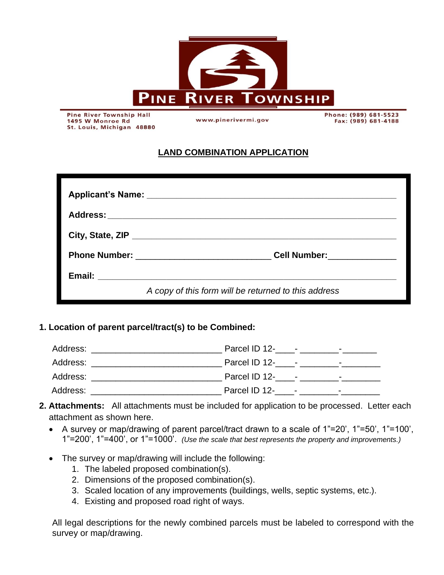

**Pine River Township Hall** 1495 W Monroe Rd St. Louis, Michigan 48880

www.pinerivermi.gov

Phone: (989) 681-5523 Fax: (989) 681-4188

## **LAND COMBINATION APPLICATION**

| A copy of this form will be returned to this address |  |  |
|------------------------------------------------------|--|--|

## **1. Location of parent parcel/tract(s) to be Combined:**

| Address: | Parcel ID 12- -<br>$\overline{\phantom{0}}$ |
|----------|---------------------------------------------|
| Address: |                                             |
| Address: | Parcel ID 12- -<br>$\overline{\phantom{0}}$ |
| Address: | Parcel ID 12- -<br>$\overline{\phantom{0}}$ |

- **2. Attachments:** All attachments must be included for application to be processed. Letter each attachment as shown here.
	- A survey or map/drawing of parent parcel/tract drawn to a scale of 1"=20', 1"=50', 1"=100', 1"=200', 1"=400', or 1"=1000'. *(Use the scale that best represents the property and improvements.)*
	- The survey or map/drawing will include the following:
		- 1. The labeled proposed combination(s).
		- 2. Dimensions of the proposed combination(s).
		- 3. Scaled location of any improvements (buildings, wells, septic systems, etc.).
		- 4. Existing and proposed road right of ways.

All legal descriptions for the newly combined parcels must be labeled to correspond with the survey or map/drawing.